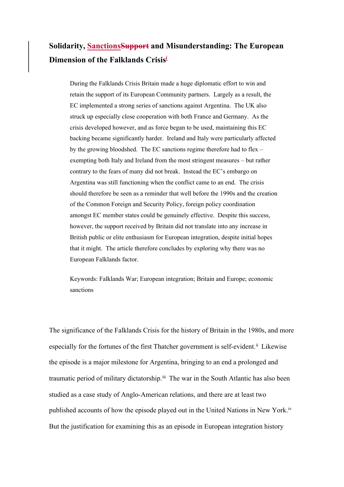# **Solidarity, SanctionsSupport and Misunderstanding: The European Dimension of the Falklands Crisisi**

During the Falklands Crisis Britain made a huge diplomatic effort to win and retain the support of its European Community partners. Largely as a result, the EC implemented a strong series of sanctions against Argentina. The UK also struck up especially close cooperation with both France and Germany. As the crisis developed however, and as force began to be used, maintaining this EC backing became significantly harder. Ireland and Italy were particularly affected by the growing bloodshed. The EC sanctions regime therefore had to flex – exempting both Italy and Ireland from the most stringent measures – but rather contrary to the fears of many did not break. Instead the EC's embargo on Argentina was still functioning when the conflict came to an end. The crisis should therefore be seen as a reminder that well before the 1990s and the creation of the Common Foreign and Security Policy, foreign policy coordination amongst EC member states could be genuinely effective. Despite this success, however, the support received by Britain did not translate into any increase in British public or elite enthusiasm for European integration, despite initial hopes that it might. The article therefore concludes by exploring why there was no European Falklands factor.

Keywords: Falklands War; European integration; Britain and Europe; economic sanctions

The significance of the Falklands Crisis for the history of Britain in the 1980s, and more especially for the fortunes of the first Thatcher government is self-evident.<sup>ii</sup> Likewise the episode is a major milestone for Argentina, bringing to an end a prolonged and traumatic period of military dictatorship.<sup>iii</sup> The war in the South Atlantic has also been studied as a case study of Anglo-American relations, and there are at least two published accounts of how the episode played out in the United Nations in New York.iv But the justification for examining this as an episode in European integration history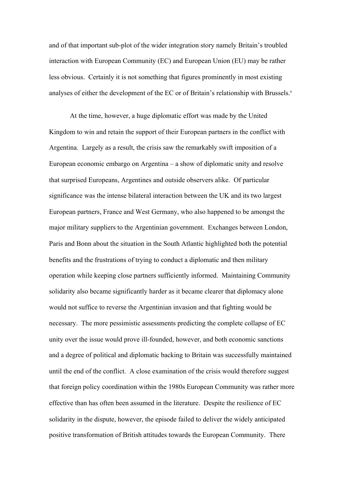and of that important sub-plot of the wider integration story namely Britain's troubled interaction with European Community (EC) and European Union (EU) may be rather less obvious. Certainly it is not something that figures prominently in most existing analyses of either the development of the EC or of Britain's relationship with Brussels.<sup>v</sup>

At the time, however, a huge diplomatic effort was made by the United Kingdom to win and retain the support of their European partners in the conflict with Argentina. Largely as a result, the crisis saw the remarkably swift imposition of a European economic embargo on Argentina – a show of diplomatic unity and resolve that surprised Europeans, Argentines and outside observers alike. Of particular significance was the intense bilateral interaction between the UK and its two largest European partners, France and West Germany, who also happened to be amongst the major military suppliers to the Argentinian government. Exchanges between London, Paris and Bonn about the situation in the South Atlantic highlighted both the potential benefits and the frustrations of trying to conduct a diplomatic and then military operation while keeping close partners sufficiently informed. Maintaining Community solidarity also became significantly harder as it became clearer that diplomacy alone would not suffice to reverse the Argentinian invasion and that fighting would be necessary. The more pessimistic assessments predicting the complete collapse of EC unity over the issue would prove ill-founded, however, and both economic sanctions and a degree of political and diplomatic backing to Britain was successfully maintained until the end of the conflict. A close examination of the crisis would therefore suggest that foreign policy coordination within the 1980s European Community was rather more effective than has often been assumed in the literature. Despite the resilience of EC solidarity in the dispute, however, the episode failed to deliver the widely anticipated positive transformation of British attitudes towards the European Community. There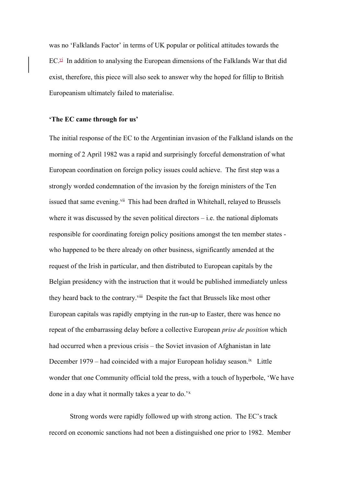was no 'Falklands Factor' in terms of UK popular or political attitudes towards the  $EC^{\text{vi}}$  In addition to analysing the European dimensions of the Falklands War that did exist, therefore, this piece will also seek to answer why the hoped for fillip to British Europeanism ultimately failed to materialise.

# **'The EC came through for us'**

The initial response of the EC to the Argentinian invasion of the Falkland islands on the morning of 2 April 1982 was a rapid and surprisingly forceful demonstration of what European coordination on foreign policy issues could achieve. The first step was a strongly worded condemnation of the invasion by the foreign ministers of the Ten issued that same evening.<sup>vii</sup> This had been drafted in Whitehall, relayed to Brussels where it was discussed by the seven political directors  $-$  i.e. the national diplomats responsible for coordinating foreign policy positions amongst the ten member states who happened to be there already on other business, significantly amended at the request of the Irish in particular, and then distributed to European capitals by the Belgian presidency with the instruction that it would be published immediately unless they heard back to the contrary.<sup>viii</sup> Despite the fact that Brussels like most other European capitals was rapidly emptying in the run-up to Easter, there was hence no repeat of the embarrassing delay before a collective European *prise de position* which had occurred when a previous crisis – the Soviet invasion of Afghanistan in late December 1979 – had coincided with a major European holiday season.<sup>ix</sup> Little wonder that one Community official told the press, with a touch of hyperbole, 'We have done in a day what it normally takes a year to do.'x

Strong words were rapidly followed up with strong action. The EC's track record on economic sanctions had not been a distinguished one prior to 1982. Member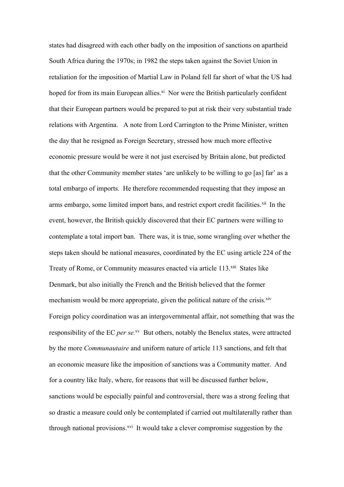states had disagreed with each other badly on the imposition of sanctions on apartheid South Africa during the 1970s; in 1982 the steps taken against the Soviet Union in retaliation for the imposition of Martial Law in Poland fell far short of what the US had hoped for from its main European allies. $x_i$  Nor were the British particularly confident that their European partners would be prepared to put at risk their very substantial trade relations with Argentina. A note from Lord Carrington to the Prime Minister, written the day that he resigned as Foreign Secretary, stressed how much more effective economic pressure would be were it not just exercised by Britain alone, but predicted that the other Community member states 'are unlikely to be willing to go [as] far' as a total embargo of imports. He therefore recommended requesting that they impose an arms embargo, some limited import bans, and restrict export credit facilities.<sup>xii</sup> In the event, however, the British quickly discovered that their EC partners were willing to contemplate a total import ban. There was, it is true, some wrangling over whether the steps taken should be national measures, coordinated by the EC using article 224 of the Treaty of Rome, or Community measures enacted via article 113.xiii States like Denmark, but also initially the French and the British believed that the former mechanism would be more appropriate, given the political nature of the crisis.<sup>xiv</sup> Foreign policy coordination was an intergovernmental affair, not something that was the responsibility of the EC *per se.*xv But others, notably the Benelux states, were attracted by the more *Communautaire* and uniform nature of article 113 sanctions, and felt that an economic measure like the imposition of sanctions was a Community matter. And for a country like Italy, where, for reasons that will be discussed further below, sanctions would be especially painful and controversial, there was a strong feeling that so drastic a measure could only be contemplated if carried out multilaterally rather than through national provisions.<sup>xvi</sup> It would take a clever compromise suggestion by the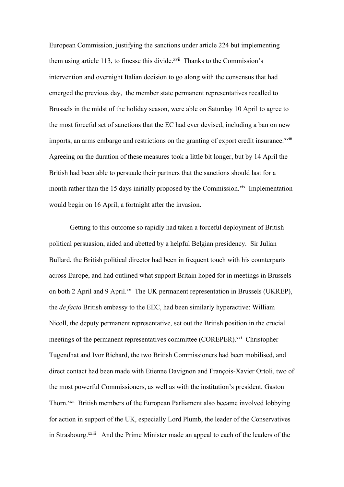European Commission, justifying the sanctions under article 224 but implementing them using article 113, to finesse this divide.<sup>xvii</sup> Thanks to the Commission's intervention and overnight Italian decision to go along with the consensus that had emerged the previous day, the member state permanent representatives recalled to Brussels in the midst of the holiday season, were able on Saturday 10 April to agree to the most forceful set of sanctions that the EC had ever devised, including a ban on new imports, an arms embargo and restrictions on the granting of export credit insurance.<sup>xviii</sup> Agreeing on the duration of these measures took a little bit longer, but by 14 April the British had been able to persuade their partners that the sanctions should last for a month rather than the 15 days initially proposed by the Commission.<sup>xix</sup> Implementation would begin on 16 April, a fortnight after the invasion.

Getting to this outcome so rapidly had taken a forceful deployment of British political persuasion, aided and abetted by a helpful Belgian presidency. Sir Julian Bullard, the British political director had been in frequent touch with his counterparts across Europe, and had outlined what support Britain hoped for in meetings in Brussels on both 2 April and 9 April.<sup>xx</sup> The UK permanent representation in Brussels (UKREP), the *de facto* British embassy to the EEC, had been similarly hyperactive: William Nicoll, the deputy permanent representative, set out the British position in the crucial meetings of the permanent representatives committee (COREPER).<sup>xxi</sup> Christopher Tugendhat and Ivor Richard, the two British Commissioners had been mobilised, and direct contact had been made with Etienne Davignon and François-Xavier Ortoli, two of the most powerful Commissioners, as well as with the institution's president, Gaston Thorn.<sup>xxii</sup> British members of the European Parliament also became involved lobbying for action in support of the UK, especially Lord Plumb, the leader of the Conservatives in Strasbourg.<sup>xxiii</sup> And the Prime Minister made an appeal to each of the leaders of the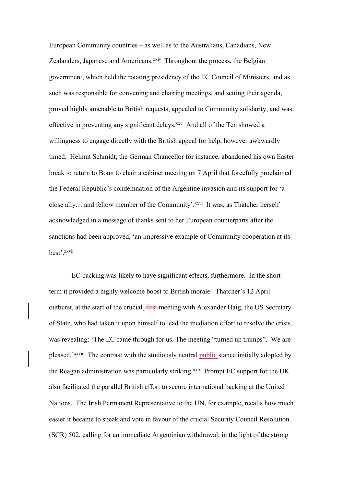European Community countries – as well as to the Australians, Canadians, New Zealanders, Japanese and Americans.<sup>xxiv</sup> Throughout the process, the Belgian government, which held the rotating presidency of the EC Council of Ministers, and as such was responsible for convening and chairing meetings, and setting their agenda, proved highly amenable to British requests, appealed to Community solidarity, and was effective in preventing any significant delays.<sup>xxv</sup> And all of the Ten showed a willingness to engage directly with the British appeal for help, however awkwardly timed. Helmut Schmidt, the German Chancellor for instance, abandoned his own Easter break to return to Bonn to chair a cabinet meeting on 7 April that forcefully proclaimed the Federal Republic's condemnation of the Argentine invasion and its support for 'a close ally... and fellow member of the Community'. XXVI It was, as Thatcher herself acknowledged in a message of thanks sent to her European counterparts after the sanctions had been approved, 'an impressive example of Community cooperation at its best'.xxvii

EC backing was likely to have significant effects, furthermore. In the short term it provided a highly welcome boost to British morale. Thatcher's 12 April outburst, at the start of the crucial\_first meeting with Alexander Haig, the US Secretary of State, who had taken it upon himself to lead the mediation effort to resolve the crisis, was revealing: 'The EC came through for us. The meeting "turned up trumps". We are pleased.'xxviii The contrast with the studiously neutral public stance initially adopted by the Reagan administration was particularly striking.<sup>xxix</sup> Prompt EC support for the UK also facilitated the parallel British effort to secure international backing at the United Nations. The Irish Permanent Representative to the UN, for example, recalls how much easier it became to speak and vote in favour of the crucial Security Council Resolution (SCR) 502, calling for an immediate Argentinian withdrawal, in the light of the strong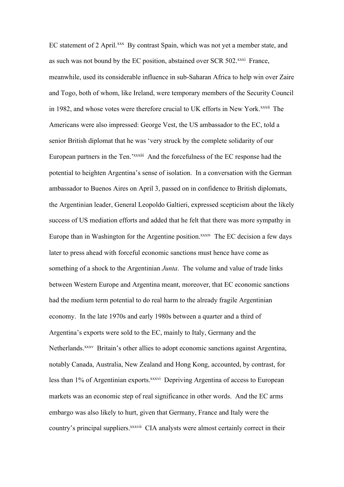EC statement of 2 April.<sup>xxx</sup> By contrast Spain, which was not yet a member state, and as such was not bound by the EC position, abstained over SCR 502.<sup>xxxi</sup> France, meanwhile, used its considerable influence in sub-Saharan Africa to help win over Zaire and Togo, both of whom, like Ireland, were temporary members of the Security Council in 1982, and whose votes were therefore crucial to UK efforts in New York.<sup>xxxii</sup> The Americans were also impressed: George Vest, the US ambassador to the EC, told a senior British diplomat that he was 'very struck by the complete solidarity of our European partners in the Ten.<sup>'xxxiii</sup> And the forcefulness of the EC response had the potential to heighten Argentina's sense of isolation. In a conversation with the German ambassador to Buenos Aires on April 3, passed on in confidence to British diplomats, the Argentinian leader, General Leopoldo Galtieri, expressed scepticism about the likely success of US mediation efforts and added that he felt that there was more sympathy in Europe than in Washington for the Argentine position.<sup>xxxiv</sup> The EC decision a few days later to press ahead with forceful economic sanctions must hence have come as something of a shock to the Argentinian *Junta*. The volume and value of trade links between Western Europe and Argentina meant, moreover, that EC economic sanctions had the medium term potential to do real harm to the already fragile Argentinian economy. In the late 1970s and early 1980s between a quarter and a third of Argentina's exports were sold to the EC, mainly to Italy, Germany and the Netherlands.<sup>xxxv</sup> Britain's other allies to adopt economic sanctions against Argentina, notably Canada, Australia, New Zealand and Hong Kong, accounted, by contrast, for less than 1% of Argentinian exports.<sup>xxxvi</sup> Depriving Argentina of access to European markets was an economic step of real significance in other words. And the EC arms embargo was also likely to hurt, given that Germany, France and Italy were the country's principal suppliers.<sup>xxxvii</sup> CIA analysts were almost certainly correct in their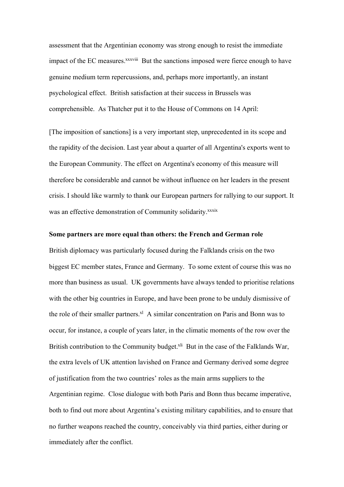assessment that the Argentinian economy was strong enough to resist the immediate impact of the EC measures.<sup>XXXViii</sup> But the sanctions imposed were fierce enough to have genuine medium term repercussions, and, perhaps more importantly, an instant psychological effect. British satisfaction at their success in Brussels was comprehensible. As Thatcher put it to the House of Commons on 14 April:

[The imposition of sanctions] is a very important step, unprecedented in its scope and the rapidity of the decision. Last year about a quarter of all Argentina's exports went to the European Community. The effect on Argentina's economy of this measure will therefore be considerable and cannot be without influence on her leaders in the present crisis. I should like warmly to thank our European partners for rallying to our support. It was an effective demonstration of Community solidarity.<sup>xxxix</sup>

## **Some partners are more equal than others: the French and German role**

British diplomacy was particularly focused during the Falklands crisis on the two biggest EC member states, France and Germany. To some extent of course this was no more than business as usual. UK governments have always tended to prioritise relations with the other big countries in Europe, and have been prone to be unduly dismissive of the role of their smaller partners. $x<sup>1</sup>$  A similar concentration on Paris and Bonn was to occur, for instance, a couple of years later, in the climatic moments of the row over the British contribution to the Community budget.<sup>xli</sup> But in the case of the Falklands War, the extra levels of UK attention lavished on France and Germany derived some degree of justification from the two countries' roles as the main arms suppliers to the Argentinian regime. Close dialogue with both Paris and Bonn thus became imperative, both to find out more about Argentina's existing military capabilities, and to ensure that no further weapons reached the country, conceivably via third parties, either during or immediately after the conflict.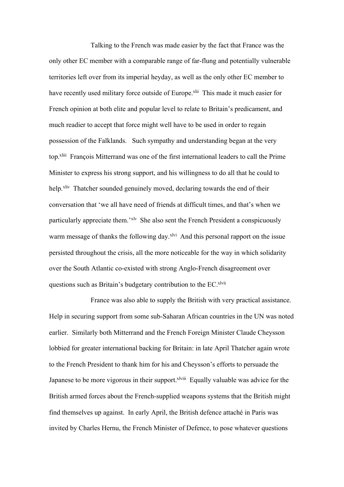Talking to the French was made easier by the fact that France was the only other EC member with a comparable range of far-flung and potentially vulnerable territories left over from its imperial heyday, as well as the only other EC member to have recently used military force outside of Europe.<sup>xlii</sup> This made it much easier for French opinion at both elite and popular level to relate to Britain's predicament, and much readier to accept that force might well have to be used in order to regain possession of the Falklands. Such sympathy and understanding began at the very top.xliii François Mitterrand was one of the first international leaders to call the Prime Minister to express his strong support, and his willingness to do all that he could to help.<sup>xliv</sup> Thatcher sounded genuinely moved, declaring towards the end of their conversation that 'we all have need of friends at difficult times, and that's when we particularly appreciate them.'xlv She also sent the French President a conspicuously warm message of thanks the following day.<sup>xlvi</sup> And this personal rapport on the issue persisted throughout the crisis, all the more noticeable for the way in which solidarity over the South Atlantic co-existed with strong Anglo-French disagreement over questions such as Britain's budgetary contribution to the EC.<sup>xlvii</sup>

France was also able to supply the British with very practical assistance. Help in securing support from some sub-Saharan African countries in the UN was noted earlier. Similarly both Mitterrand and the French Foreign Minister Claude Cheysson lobbied for greater international backing for Britain: in late April Thatcher again wrote to the French President to thank him for his and Cheysson's efforts to persuade the Japanese to be more vigorous in their support. X<sup>lviii</sup> Equally valuable was advice for the British armed forces about the French-supplied weapons systems that the British might find themselves up against. In early April, the British defence attaché in Paris was invited by Charles Hernu, the French Minister of Defence, to pose whatever questions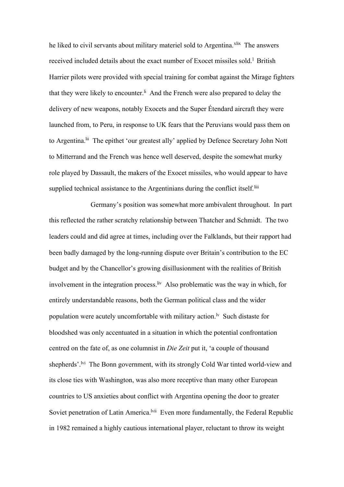he liked to civil servants about military materiel sold to Argentina.<sup>xlix</sup> The answers received included details about the exact number of Exocet missiles sold.<sup>1</sup> British Harrier pilots were provided with special training for combat against the Mirage fighters that they were likely to encounter.<sup>Ii</sup> And the French were also prepared to delay the delivery of new weapons, notably Exocets and the Super Étendard aircraft they were launched from, to Peru, in response to UK fears that the Peruvians would pass them on to Argentina.<sup>lii</sup> The epithet 'our greatest ally' applied by Defence Secretary John Nott to Mitterrand and the French was hence well deserved, despite the somewhat murky role played by Dassault, the makers of the Exocet missiles, who would appear to have supplied technical assistance to the Argentinians during the conflict itself.<sup>liii</sup>

Germany's position was somewhat more ambivalent throughout. In part this reflected the rather scratchy relationship between Thatcher and Schmidt. The two leaders could and did agree at times, including over the Falklands, but their rapport had been badly damaged by the long-running dispute over Britain's contribution to the EC budget and by the Chancellor's growing disillusionment with the realities of British involvement in the integration process.<sup>liv</sup> Also problematic was the way in which, for entirely understandable reasons, both the German political class and the wider population were acutely uncomfortable with military action.<sup> $\mathbf{w}$ </sup> Such distaste for bloodshed was only accentuated in a situation in which the potential confrontation centred on the fate of, as one columnist in *Die Zeit* put it, 'a couple of thousand shepherds'.<sup>lvi</sup> The Bonn government, with its strongly Cold War tinted world-view and its close ties with Washington, was also more receptive than many other European countries to US anxieties about conflict with Argentina opening the door to greater Soviet penetration of Latin America.<sup>Ivii</sup> Even more fundamentally, the Federal Republic in 1982 remained a highly cautious international player, reluctant to throw its weight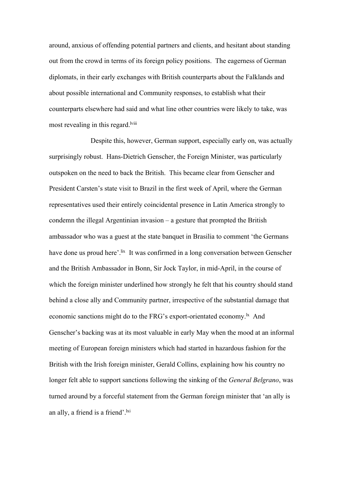around, anxious of offending potential partners and clients, and hesitant about standing out from the crowd in terms of its foreign policy positions. The eagerness of German diplomats, in their early exchanges with British counterparts about the Falklands and about possible international and Community responses, to establish what their counterparts elsewhere had said and what line other countries were likely to take, was most revealing in this regard.<sup>Iviii</sup>

Despite this, however, German support, especially early on, was actually surprisingly robust. Hans-Dietrich Genscher, the Foreign Minister, was particularly outspoken on the need to back the British. This became clear from Genscher and President Carsten's state visit to Brazil in the first week of April, where the German representatives used their entirely coincidental presence in Latin America strongly to condemn the illegal Argentinian invasion – a gesture that prompted the British ambassador who was a guest at the state banquet in Brasilia to comment 'the Germans have done us proud here'.<sup>lix</sup> It was confirmed in a long conversation between Genscher and the British Ambassador in Bonn, Sir Jock Taylor, in mid-April, in the course of which the foreign minister underlined how strongly he felt that his country should stand behind a close ally and Community partner, irrespective of the substantial damage that economic sanctions might do to the FRG's export-orientated economy.<sup>1x</sup> And Genscher's backing was at its most valuable in early May when the mood at an informal meeting of European foreign ministers which had started in hazardous fashion for the British with the Irish foreign minister, Gerald Collins, explaining how his country no longer felt able to support sanctions following the sinking of the *General Belgrano*, was turned around by a forceful statement from the German foreign minister that 'an ally is an ally, a friend is a friend'. $\frac{ixi}{ }$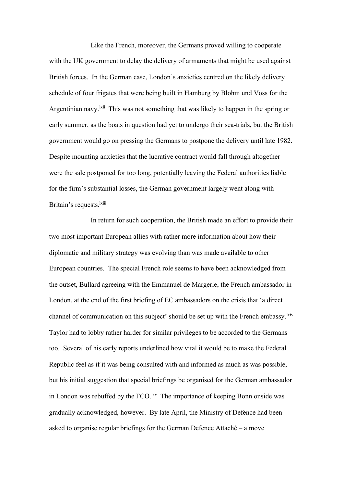Like the French, moreover, the Germans proved willing to cooperate with the UK government to delay the delivery of armaments that might be used against British forces. In the German case, London's anxieties centred on the likely delivery schedule of four frigates that were being built in Hamburg by Blohm und Voss for the Argentinian navy.<sup>kii</sup> This was not something that was likely to happen in the spring or early summer, as the boats in question had yet to undergo their sea-trials, but the British government would go on pressing the Germans to postpone the delivery until late 1982. Despite mounting anxieties that the lucrative contract would fall through altogether were the sale postponed for too long, potentially leaving the Federal authorities liable for the firm's substantial losses, the German government largely went along with Britain's requests.<sup>lxiii</sup>

In return for such cooperation, the British made an effort to provide their two most important European allies with rather more information about how their diplomatic and military strategy was evolving than was made available to other European countries. The special French role seems to have been acknowledged from the outset, Bullard agreeing with the Emmanuel de Margerie, the French ambassador in London, at the end of the first briefing of EC ambassadors on the crisis that 'a direct channel of communication on this subject' should be set up with the French embassy. Kiv Taylor had to lobby rather harder for similar privileges to be accorded to the Germans too. Several of his early reports underlined how vital it would be to make the Federal Republic feel as if it was being consulted with and informed as much as was possible, but his initial suggestion that special briefings be organised for the German ambassador in London was rebuffed by the  $FCO$ . <sup>Ixv</sup> The importance of keeping Bonn onside was gradually acknowledged, however. By late April, the Ministry of Defence had been asked to organise regular briefings for the German Defence Attaché – a move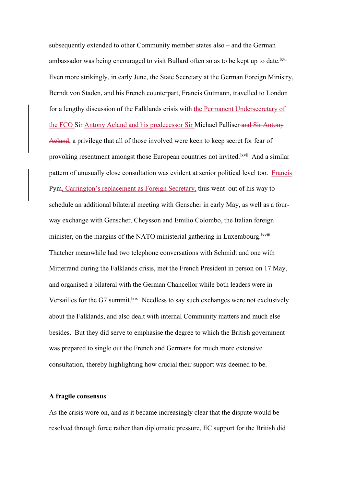subsequently extended to other Community member states also – and the German ambassador was being encouraged to visit Bullard often so as to be kept up to date.<sup>lxvi</sup> Even more strikingly, in early June, the State Secretary at the German Foreign Ministry, Berndt von Staden, and his French counterpart, Francis Gutmann, travelled to London for a lengthy discussion of the Falklands crisis with the Permanent Undersecretary of the FCO Sir Antony Acland and his predecessor Sir Michael Palliser and Sir Antony Acland, a privilege that all of those involved were keen to keep secret for fear of provoking resentment amongst those European countries not invited. Kivii And a similar pattern of unusually close consultation was evident at senior political level too. Francis Pym, Carrington's replacement as Foreign Secretary, thus went out of his way to schedule an additional bilateral meeting with Genscher in early May, as well as a fourway exchange with Genscher, Cheysson and Emilio Colombo, the Italian foreign minister, on the margins of the NATO ministerial gathering in Luxembourg.<sup>lxviii</sup> Thatcher meanwhile had two telephone conversations with Schmidt and one with Mitterrand during the Falklands crisis, met the French President in person on 17 May, and organised a bilateral with the German Chancellor while both leaders were in Versailles for the G7 summit.  $k$  Needless to say such exchanges were not exclusively about the Falklands, and also dealt with internal Community matters and much else besides. But they did serve to emphasise the degree to which the British government was prepared to single out the French and Germans for much more extensive consultation, thereby highlighting how crucial their support was deemed to be.

### **A fragile consensus**

As the crisis wore on, and as it became increasingly clear that the dispute would be resolved through force rather than diplomatic pressure, EC support for the British did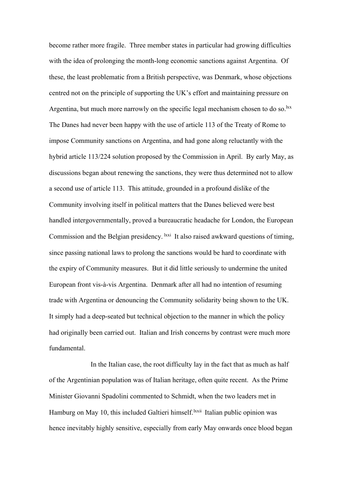become rather more fragile. Three member states in particular had growing difficulties with the idea of prolonging the month-long economic sanctions against Argentina. Of these, the least problematic from a British perspective, was Denmark, whose objections centred not on the principle of supporting the UK's effort and maintaining pressure on Argentina, but much more narrowly on the specific legal mechanism chosen to do so.<sup>lxx</sup> The Danes had never been happy with the use of article 113 of the Treaty of Rome to impose Community sanctions on Argentina, and had gone along reluctantly with the hybrid article 113/224 solution proposed by the Commission in April. By early May, as discussions began about renewing the sanctions, they were thus determined not to allow a second use of article 113. This attitude, grounded in a profound dislike of the Community involving itself in political matters that the Danes believed were best handled intergovernmentally, proved a bureaucratic headache for London, the European Commission and the Belgian presidency. <sup>lxxi</sup> It also raised awkward questions of timing, since passing national laws to prolong the sanctions would be hard to coordinate with the expiry of Community measures. But it did little seriously to undermine the united European front vis-à-vis Argentina. Denmark after all had no intention of resuming trade with Argentina or denouncing the Community solidarity being shown to the UK. It simply had a deep-seated but technical objection to the manner in which the policy had originally been carried out. Italian and Irish concerns by contrast were much more fundamental.

In the Italian case, the root difficulty lay in the fact that as much as half of the Argentinian population was of Italian heritage, often quite recent. As the Prime Minister Giovanni Spadolini commented to Schmidt, when the two leaders met in Hamburg on May 10, this included Galtieri himself.<sup>lxxii</sup> Italian public opinion was hence inevitably highly sensitive, especially from early May onwards once blood began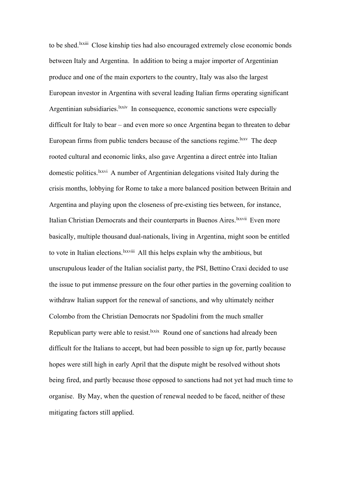to be shed.<sup>lxxiii</sup> Close kinship ties had also encouraged extremely close economic bonds between Italy and Argentina. In addition to being a major importer of Argentinian produce and one of the main exporters to the country, Italy was also the largest European investor in Argentina with several leading Italian firms operating significant Argentinian subsidiaries. <sup>Ixxiv</sup> In consequence, economic sanctions were especially difficult for Italy to bear – and even more so once Argentina began to threaten to debar European firms from public tenders because of the sanctions regime. KXXV The deep rooted cultural and economic links, also gave Argentina a direct entrée into Italian domestic politics.<sup>lxxvi</sup> A number of Argentinian delegations visited Italy during the crisis months, lobbying for Rome to take a more balanced position between Britain and Argentina and playing upon the closeness of pre-existing ties between, for instance, Italian Christian Democrats and their counterparts in Buenos Aires. Kxvii Even more basically, multiple thousand dual-nationals, living in Argentina, might soon be entitled to vote in Italian elections. <sup>Ixxviii</sup> All this helps explain why the ambitious, but unscrupulous leader of the Italian socialist party, the PSI, Bettino Craxi decided to use the issue to put immense pressure on the four other parties in the governing coalition to withdraw Italian support for the renewal of sanctions, and why ultimately neither Colombo from the Christian Democrats nor Spadolini from the much smaller Republican party were able to resist.<sup>1xxix</sup> Round one of sanctions had already been difficult for the Italians to accept, but had been possible to sign up for, partly because hopes were still high in early April that the dispute might be resolved without shots being fired, and partly because those opposed to sanctions had not yet had much time to organise. By May, when the question of renewal needed to be faced, neither of these mitigating factors still applied.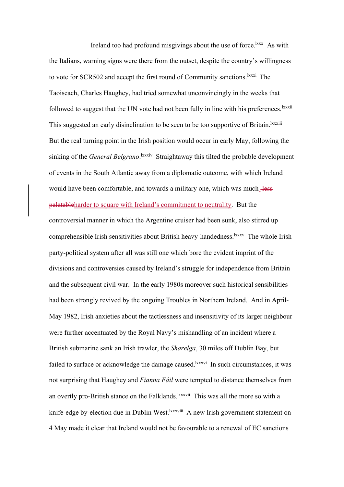Ireland too had profound misgivings about the use of force.<sup>lxxx</sup> As with the Italians, warning signs were there from the outset, despite the country's willingness to vote for SCR502 and accept the first round of Community sanctions.<sup>lxxxi</sup> The Taoiseach, Charles Haughey, had tried somewhat unconvincingly in the weeks that followed to suggest that the UN vote had not been fully in line with his preferences.  $\frac{l_{\text{xxxii}}}{l_{\text{xxxii}}}$ This suggested an early disinclination to be seen to be too supportive of Britain. <sup>Ixxxiii</sup> But the real turning point in the Irish position would occur in early May, following the sinking of the *General Belgrano*. <sup>Ixxxiv</sup> Straightaway this tilted the probable development of events in the South Atlantic away from a diplomatic outcome, with which Ireland would have been comfortable, and towards a military one, which was much\_less palatableharder to square with Ireland's commitment to neutrality. But the controversial manner in which the Argentine cruiser had been sunk, also stirred up comprehensible Irish sensitivities about British heavy-handedness.<sup>1xxxv</sup> The whole Irish party-political system after all was still one which bore the evident imprint of the divisions and controversies caused by Ireland's struggle for independence from Britain and the subsequent civil war. In the early 1980s moreover such historical sensibilities had been strongly revived by the ongoing Troubles in Northern Ireland. And in April-May 1982, Irish anxieties about the tactlessness and insensitivity of its larger neighbour were further accentuated by the Royal Navy's mishandling of an incident where a British submarine sank an Irish trawler, the *Sharelga*, 30 miles off Dublin Bay, but failed to surface or acknowledge the damage caused.<sup>lxxxvi</sup> In such circumstances, it was not surprising that Haughey and *Fianna Fáil* were tempted to distance themselves from an overtly pro-British stance on the Falklands.<sup>1xxxvii</sup> This was all the more so with a knife-edge by-election due in Dublin West.<sup>1xxxviii</sup> A new Irish government statement on 4 May made it clear that Ireland would not be favourable to a renewal of EC sanctions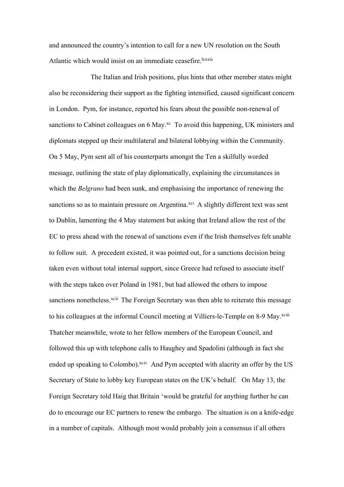and announced the country's intention to call for a new UN resolution on the South Atlantic which would insist on an immediate ceasefire.<sup>lxxxix</sup>

The Italian and Irish positions, plus hints that other member states might also be reconsidering their support as the fighting intensified, caused significant concern in London. Pym, for instance, reported his fears about the possible non-renewal of sanctions to Cabinet colleagues on 6 May.<sup>xc</sup> To avoid this happening, UK ministers and diplomats stepped up their multilateral and bilateral lobbying within the Community. On 5 May, Pym sent all of his counterparts amongst the Ten a skilfully worded message, outlining the state of play diplomatically, explaining the circumstances in which the *Belgrano* had been sunk, and emphasising the importance of renewing the sanctions so as to maintain pressure on Argentina.<sup>xci</sup> A slightly different text was sent to Dublin, lamenting the 4 May statement but asking that Ireland allow the rest of the EC to press ahead with the renewal of sanctions even if the Irish themselves felt unable to follow suit. A precedent existed, it was pointed out, for a sanctions decision being taken even without total internal support, since Greece had refused to associate itself with the steps taken over Poland in 1981, but had allowed the others to impose sanctions nonetheless.<sup>xcii</sup> The Foreign Secretary was then able to reiterate this message to his colleagues at the informal Council meeting at Villiers-le-Temple on 8-9 May.<sup>xciii</sup> Thatcher meanwhile, wrote to her fellow members of the European Council, and followed this up with telephone calls to Haughey and Spadolini (although in fact she ended up speaking to Colombo).<sup>xciv</sup> And Pym accepted with alacrity an offer by the US Secretary of State to lobby key European states on the UK's behalf. On May 13, the Foreign Secretary told Haig that Britain 'would be grateful for anything further he can do to encourage our EC partners to renew the embargo. The situation is on a knife-edge in a number of capitals. Although most would probably join a consensus if all others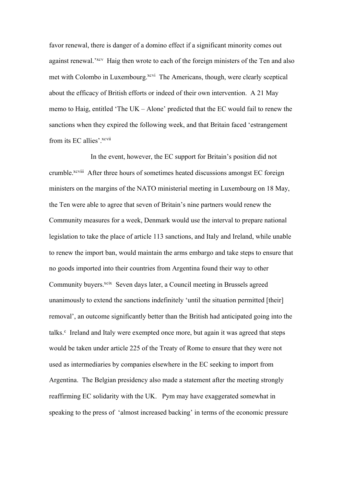favor renewal, there is danger of a domino effect if a significant minority comes out against renewal.<sup>'xcv</sup> Haig then wrote to each of the foreign ministers of the Ten and also met with Colombo in Luxembourg.<sup>xcvi</sup> The Americans, though, were clearly sceptical about the efficacy of British efforts or indeed of their own intervention. A 21 May memo to Haig, entitled 'The UK – Alone' predicted that the EC would fail to renew the sanctions when they expired the following week, and that Britain faced 'estrangement from its EC allies'.<sup>xcvii</sup>

In the event, however, the EC support for Britain's position did not crumble.<sup>xcviii</sup> After three hours of sometimes heated discussions amongst EC foreign ministers on the margins of the NATO ministerial meeting in Luxembourg on 18 May, the Ten were able to agree that seven of Britain's nine partners would renew the Community measures for a week, Denmark would use the interval to prepare national legislation to take the place of article 113 sanctions, and Italy and Ireland, while unable to renew the import ban, would maintain the arms embargo and take steps to ensure that no goods imported into their countries from Argentina found their way to other Community buyers.<sup>xcix</sup> Seven days later, a Council meeting in Brussels agreed unanimously to extend the sanctions indefinitely 'until the situation permitted [their] removal', an outcome significantly better than the British had anticipated going into the talks.<sup>c</sup> Ireland and Italy were exempted once more, but again it was agreed that steps would be taken under article 225 of the Treaty of Rome to ensure that they were not used as intermediaries by companies elsewhere in the EC seeking to import from Argentina. The Belgian presidency also made a statement after the meeting strongly reaffirming EC solidarity with the UK. Pym may have exaggerated somewhat in speaking to the press of 'almost increased backing' in terms of the economic pressure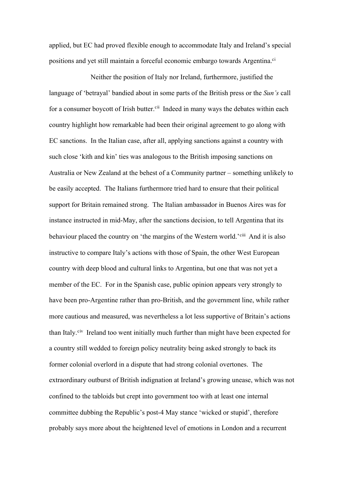applied, but EC had proved flexible enough to accommodate Italy and Ireland's special positions and yet still maintain a forceful economic embargo towards Argentina.<sup>ci</sup>

Neither the position of Italy nor Ireland, furthermore, justified the language of 'betrayal' bandied about in some parts of the British press or the *Sun's* call for a consumer boycott of Irish butter.<sup>cii</sup> Indeed in many ways the debates within each country highlight how remarkable had been their original agreement to go along with EC sanctions. In the Italian case, after all, applying sanctions against a country with such close 'kith and kin' ties was analogous to the British imposing sanctions on Australia or New Zealand at the behest of a Community partner – something unlikely to be easily accepted. The Italians furthermore tried hard to ensure that their political support for Britain remained strong. The Italian ambassador in Buenos Aires was for instance instructed in mid-May, after the sanctions decision, to tell Argentina that its behaviour placed the country on 'the margins of the Western world.'<sup>ciii</sup> And it is also instructive to compare Italy's actions with those of Spain, the other West European country with deep blood and cultural links to Argentina, but one that was not yet a member of the EC. For in the Spanish case, public opinion appears very strongly to have been pro-Argentine rather than pro-British, and the government line, while rather more cautious and measured, was nevertheless a lot less supportive of Britain's actions than Italy.<sup>civ</sup> Ireland too went initially much further than might have been expected for a country still wedded to foreign policy neutrality being asked strongly to back its former colonial overlord in a dispute that had strong colonial overtones. The extraordinary outburst of British indignation at Ireland's growing unease, which was not confined to the tabloids but crept into government too with at least one internal committee dubbing the Republic's post-4 May stance 'wicked or stupid', therefore probably says more about the heightened level of emotions in London and a recurrent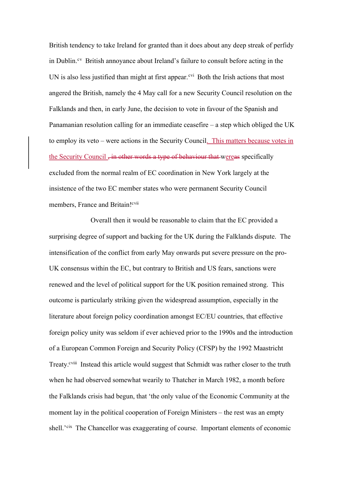British tendency to take Ireland for granted than it does about any deep streak of perfidy in Dublin. $c<sup>v</sup>$  British annoyance about Ireland's failure to consult before acting in the UN is also less justified than might at first appear.<sup> $\text{cvi}$ </sup> Both the Irish actions that most angered the British, namely the 4 May call for a new Security Council resolution on the Falklands and then, in early June, the decision to vote in favour of the Spanish and Panamanian resolution calling for an immediate ceasefire – a step which obliged the UK to employ its veto – were actions in the Security Council. This matters because votes in the Security Council <del>, in other words a type of behaviour that wereas</del> specifically excluded from the normal realm of EC coordination in New York largely at the insistence of the two EC member states who were permanent Security Council members, France and Britain!<sup>cvii</sup>

Overall then it would be reasonable to claim that the EC provided a surprising degree of support and backing for the UK during the Falklands dispute. The intensification of the conflict from early May onwards put severe pressure on the pro-UK consensus within the EC, but contrary to British and US fears, sanctions were renewed and the level of political support for the UK position remained strong. This outcome is particularly striking given the widespread assumption, especially in the literature about foreign policy coordination amongst EC/EU countries, that effective foreign policy unity was seldom if ever achieved prior to the 1990s and the introduction of a European Common Foreign and Security Policy (CFSP) by the 1992 Maastricht Treaty.<sup>cviii</sup> Instead this article would suggest that Schmidt was rather closer to the truth when he had observed somewhat wearily to Thatcher in March 1982, a month before the Falklands crisis had begun, that 'the only value of the Economic Community at the moment lay in the political cooperation of Foreign Ministers – the rest was an empty shell.<sup>'cix</sup> The Chancellor was exaggerating of course. Important elements of economic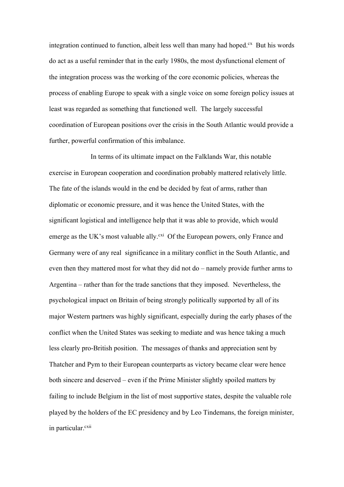integration continued to function, albeit less well than many had hoped. $c<sup>x</sup>$  But his words do act as a useful reminder that in the early 1980s, the most dysfunctional element of the integration process was the working of the core economic policies, whereas the process of enabling Europe to speak with a single voice on some foreign policy issues at least was regarded as something that functioned well. The largely successful coordination of European positions over the crisis in the South Atlantic would provide a further, powerful confirmation of this imbalance.

In terms of its ultimate impact on the Falklands War, this notable exercise in European cooperation and coordination probably mattered relatively little. The fate of the islands would in the end be decided by feat of arms, rather than diplomatic or economic pressure, and it was hence the United States, with the significant logistical and intelligence help that it was able to provide, which would emerge as the UK's most valuable ally.<sup>cxi</sup> Of the European powers, only France and Germany were of any real significance in a military conflict in the South Atlantic, and even then they mattered most for what they did not do – namely provide further arms to Argentina – rather than for the trade sanctions that they imposed. Nevertheless, the psychological impact on Britain of being strongly politically supported by all of its major Western partners was highly significant, especially during the early phases of the conflict when the United States was seeking to mediate and was hence taking a much less clearly pro-British position. The messages of thanks and appreciation sent by Thatcher and Pym to their European counterparts as victory became clear were hence both sincere and deserved – even if the Prime Minister slightly spoiled matters by failing to include Belgium in the list of most supportive states, despite the valuable role played by the holders of the EC presidency and by Leo Tindemans, the foreign minister, in particular.<sup>cxii</sup>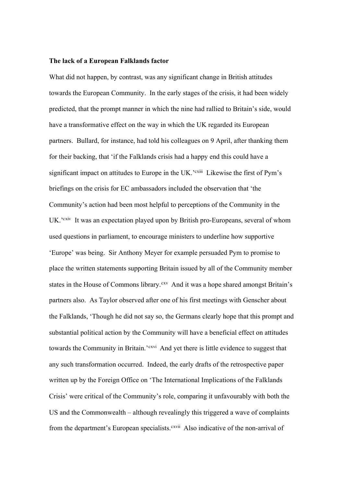#### **The lack of a European Falklands factor**

What did not happen, by contrast, was any significant change in British attitudes towards the European Community. In the early stages of the crisis, it had been widely predicted, that the prompt manner in which the nine had rallied to Britain's side, would have a transformative effect on the way in which the UK regarded its European partners. Bullard, for instance, had told his colleagues on 9 April, after thanking them for their backing, that 'if the Falklands crisis had a happy end this could have a significant impact on attitudes to Europe in the UK.<sup>2</sup> cxiii Likewise the first of Pym's briefings on the crisis for EC ambassadors included the observation that 'the Community's action had been most helpful to perceptions of the Community in the UK.<sup>'cxiv</sup> It was an expectation played upon by British pro-Europeans, several of whom used questions in parliament, to encourage ministers to underline how supportive 'Europe' was being. Sir Anthony Meyer for example persuaded Pym to promise to place the written statements supporting Britain issued by all of the Community member states in the House of Commons library.<sup>cxv</sup> And it was a hope shared amongst Britain's partners also. As Taylor observed after one of his first meetings with Genscher about the Falklands, 'Though he did not say so, the Germans clearly hope that this prompt and substantial political action by the Community will have a beneficial effect on attitudes towards the Community in Britain.'<sup>cxvi</sup> And yet there is little evidence to suggest that any such transformation occurred. Indeed, the early drafts of the retrospective paper written up by the Foreign Office on 'The International Implications of the Falklands Crisis' were critical of the Community's role, comparing it unfavourably with both the US and the Commonwealth – although revealingly this triggered a wave of complaints from the department's European specialists.<sup>cxvii</sup> Also indicative of the non-arrival of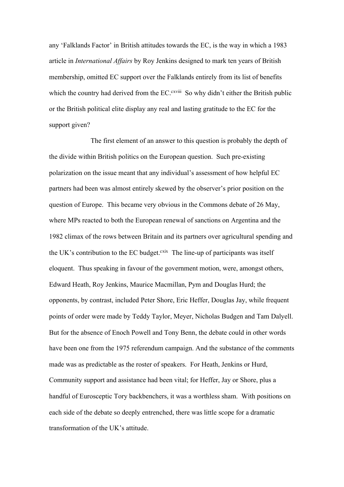any 'Falklands Factor' in British attitudes towards the EC, is the way in which a 1983 article in *International Affairs* by Roy Jenkins designed to mark ten years of British membership, omitted EC support over the Falklands entirely from its list of benefits which the country had derived from the EC.<sup>cxviii</sup> So why didn't either the British public or the British political elite display any real and lasting gratitude to the EC for the support given?

The first element of an answer to this question is probably the depth of the divide within British politics on the European question. Such pre-existing polarization on the issue meant that any individual's assessment of how helpful EC partners had been was almost entirely skewed by the observer's prior position on the question of Europe. This became very obvious in the Commons debate of 26 May, where MPs reacted to both the European renewal of sanctions on Argentina and the 1982 climax of the rows between Britain and its partners over agricultural spending and the UK's contribution to the EC budget.<sup>cxix</sup> The line-up of participants was itself eloquent. Thus speaking in favour of the government motion, were, amongst others, Edward Heath, Roy Jenkins, Maurice Macmillan, Pym and Douglas Hurd; the opponents, by contrast, included Peter Shore, Eric Heffer, Douglas Jay, while frequent points of order were made by Teddy Taylor, Meyer, Nicholas Budgen and Tam Dalyell. But for the absence of Enoch Powell and Tony Benn, the debate could in other words have been one from the 1975 referendum campaign. And the substance of the comments made was as predictable as the roster of speakers. For Heath, Jenkins or Hurd, Community support and assistance had been vital; for Heffer, Jay or Shore, plus a handful of Eurosceptic Tory backbenchers, it was a worthless sham. With positions on each side of the debate so deeply entrenched, there was little scope for a dramatic transformation of the UK's attitude.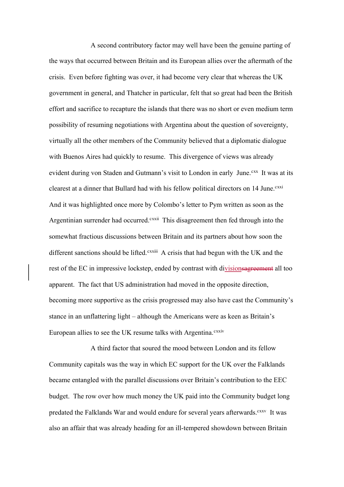A second contributory factor may well have been the genuine parting of the ways that occurred between Britain and its European allies over the aftermath of the crisis. Even before fighting was over, it had become very clear that whereas the UK government in general, and Thatcher in particular, felt that so great had been the British effort and sacrifice to recapture the islands that there was no short or even medium term possibility of resuming negotiations with Argentina about the question of sovereignty, virtually all the other members of the Community believed that a diplomatic dialogue with Buenos Aires had quickly to resume. This divergence of views was already evident during von Staden and Gutmann's visit to London in early June.<sup>cxx</sup> It was at its clearest at a dinner that Bullard had with his fellow political directors on 14 June. CXXXi And it was highlighted once more by Colombo's letter to Pym written as soon as the Argentinian surrender had occurred.<sup>cxxii</sup> This disagreement then fed through into the somewhat fractious discussions between Britain and its partners about how soon the different sanctions should be lifted.<sup>cxxiii</sup> A crisis that had begun with the UK and the rest of the EC in impressive lockstep, ended by contrast with divisions agreement all too apparent. The fact that US administration had moved in the opposite direction, becoming more supportive as the crisis progressed may also have cast the Community's stance in an unflattering light – although the Americans were as keen as Britain's European allies to see the UK resume talks with Argentina.<sup>cxxiv</sup>

A third factor that soured the mood between London and its fellow Community capitals was the way in which EC support for the UK over the Falklands became entangled with the parallel discussions over Britain's contribution to the EEC budget. The row over how much money the UK paid into the Community budget long predated the Falklands War and would endure for several years afterwards.<sup>cxxv</sup> It was also an affair that was already heading for an ill-tempered showdown between Britain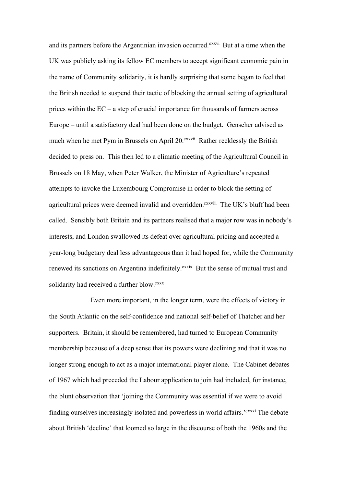and its partners before the Argentinian invasion occurred.<sup>cxxvi</sup> But at a time when the UK was publicly asking its fellow EC members to accept significant economic pain in the name of Community solidarity, it is hardly surprising that some began to feel that the British needed to suspend their tactic of blocking the annual setting of agricultural prices within the EC – a step of crucial importance for thousands of farmers across Europe – until a satisfactory deal had been done on the budget. Genscher advised as much when he met Pym in Brussels on April 20.<sup>cxxvii</sup> Rather recklessly the British decided to press on. This then led to a climatic meeting of the Agricultural Council in Brussels on 18 May, when Peter Walker, the Minister of Agriculture's repeated attempts to invoke the Luxembourg Compromise in order to block the setting of agricultural prices were deemed invalid and overridden.<sup>cxxviii</sup> The UK's bluff had been called. Sensibly both Britain and its partners realised that a major row was in nobody's interests, and London swallowed its defeat over agricultural pricing and accepted a year-long budgetary deal less advantageous than it had hoped for, while the Community renewed its sanctions on Argentina indefinitely.<sup>cxxix</sup> But the sense of mutual trust and solidarity had received a further blow.<sup>cxxx</sup>

Even more important, in the longer term, were the effects of victory in the South Atlantic on the self-confidence and national self-belief of Thatcher and her supporters. Britain, it should be remembered, had turned to European Community membership because of a deep sense that its powers were declining and that it was no longer strong enough to act as a major international player alone. The Cabinet debates of 1967 which had preceded the Labour application to join had included, for instance, the blunt observation that 'joining the Community was essential if we were to avoid finding ourselves increasingly isolated and powerless in world affairs.'<sup>cxxxi</sup> The debate about British 'decline' that loomed so large in the discourse of both the 1960s and the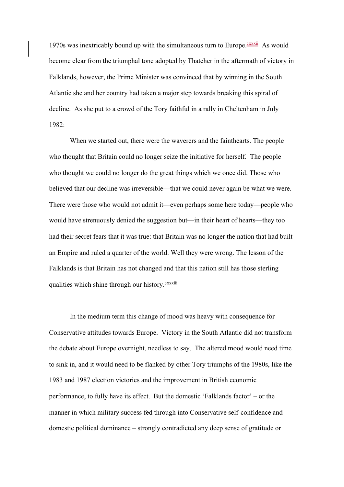1970s was inextricably bound up with the simultaneous turn to Europe. $\frac{c\text{xxx}}{n}$  As would become clear from the triumphal tone adopted by Thatcher in the aftermath of victory in Falklands, however, the Prime Minister was convinced that by winning in the South Atlantic she and her country had taken a major step towards breaking this spiral of decline. As she put to a crowd of the Tory faithful in a rally in Cheltenham in July 1982:

When we started out, there were the waverers and the fainthearts. The people who thought that Britain could no longer seize the initiative for herself. The people who thought we could no longer do the great things which we once did. Those who believed that our decline was irreversible—that we could never again be what we were. There were those who would not admit it—even perhaps some here today—people who would have strenuously denied the suggestion but—in their heart of hearts—they too had their secret fears that it was true: that Britain was no longer the nation that had built an Empire and ruled a quarter of the world. Well they were wrong. The lesson of the Falklands is that Britain has not changed and that this nation still has those sterling qualities which shine through our history.<sup>cxxxiii</sup>

In the medium term this change of mood was heavy with consequence for Conservative attitudes towards Europe. Victory in the South Atlantic did not transform the debate about Europe overnight, needless to say. The altered mood would need time to sink in, and it would need to be flanked by other Tory triumphs of the 1980s, like the 1983 and 1987 election victories and the improvement in British economic performance, to fully have its effect. But the domestic 'Falklands factor' – or the manner in which military success fed through into Conservative self-confidence and domestic political dominance – strongly contradicted any deep sense of gratitude or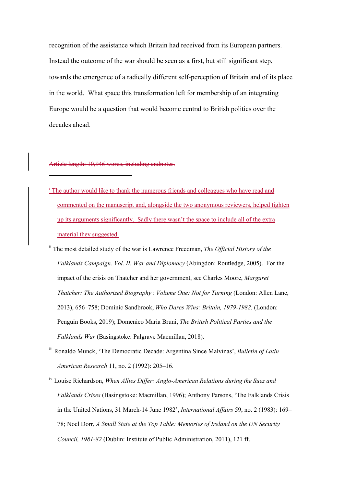recognition of the assistance which Britain had received from its European partners. Instead the outcome of the war should be seen as a first, but still significant step, towards the emergence of a radically different self-perception of Britain and of its place in the world. What space this transformation left for membership of an integrating Europe would be a question that would become central to British politics over the decades ahead.

#### Article length: 10,946 words, including endnotes.

- <sup>i</sup> The author would like to thank the numerous friends and colleagues who have read and commented on the manuscript and, alongside the two anonymous reviewers, helped tighten up its arguments significantly. Sadly there wasn't the space to include all of the extra material they suggested.
- ii The most detailed study of the war is Lawrence Freedman, *The Official History of the Falklands Campaign. Vol. II. War and Diplomacy* (Abingdon: Routledge, 2005). For the impact of the crisis on Thatcher and her government, see Charles Moore, *Margaret Thatcher: The Authorized Biography : Volume One: Not for Turning* (London: Allen Lane, 2013), 656–758; Dominic Sandbrook, *Who Dares Wins: Britain, 1979-1982.* (London: Penguin Books, 2019); Domenico Maria Bruni, *The British Political Parties and the Falklands War* (Basingstoke: Palgrave Macmillan, 2018).
- iii Ronaldo Munck, 'The Democratic Decade: Argentina Since Malvinas', *Bulletin of Latin American Research* 11, no. 2 (1992): 205–16.
- iv Louise Richardson, *When Allies Differ: Anglo-American Relations during the Suez and Falklands Crises* (Basingstoke: Macmillan, 1996); Anthony Parsons, 'The Falklands Crisis in the United Nations, 31 March-14 June 1982', *International Affairs* 59, no. 2 (1983): 169– 78; Noel Dorr, *A Small State at the Top Table: Memories of Ireland on the UN Security Council, 1981-82* (Dublin: Institute of Public Administration, 2011), 121 ff.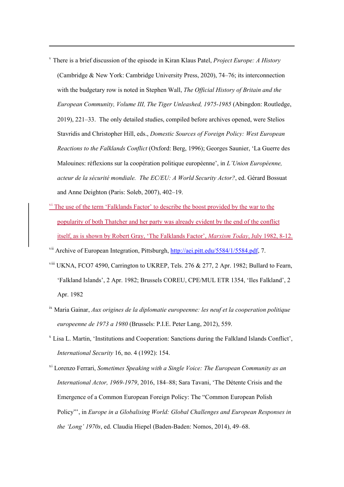- <sup>v</sup> There is a brief discussion of the episode in Kiran Klaus Patel, *Project Europe: A History* (Cambridge & New York: Cambridge University Press, 2020), 74–76; its interconnection with the budgetary row is noted in Stephen Wall, *The Official History of Britain and the European Community, Volume III, The Tiger Unleashed, 1975-1985* (Abingdon: Routledge, 2019), 221–33. The only detailed studies, compiled before archives opened, were Stelios Stavridis and Christopher Hill, eds., *Domestic Sources of Foreign Policy: West European Reactions to the Falklands Conflict* (Oxford: Berg, 1996); Georges Saunier, 'La Guerre des Malouines: réflexions sur la coopération politique européenne', in *L'Union Européenne, acteur de la sécurité mondiale. The EC/EU: A World Security Actor?*, ed. Gérard Bossuat and Anne Deighton (Paris: Soleb, 2007), 402–19.
- <sup>vi</sup> The use of the term 'Falklands Factor' to describe the boost provided by the war to the popularity of both Thatcher and her party was already evident by the end of the conflict itself, as is shown by Robert Gray, 'The Falklands Factor', *Marxism Today*, July 1982, 8-12.
- <sup>vii</sup> Archive of European Integration, Pittsburgh, http://aei.pitt.edu/5584/1/5584.pdf, 7.
- viii UKNA, FCO7 4590, Carrington to UKREP, Tels. 276 & 277, 2 Apr. 1982; Bullard to Fearn, 'Falkland Islands', 2 Apr. 1982; Brussels COREU, CPE/MUL ETR 1354, 'Iles Falkland', 2 Apr. 1982
- ix Maria Gainar, *Aux origines de la diplomatie europeenne: les neuf et la cooperation politique europeenne de 1973 a 1980* (Brussels: P.I.E. Peter Lang, 2012), 559.
- <sup>x</sup> Lisa L. Martin, 'Institutions and Cooperation: Sanctions during the Falkland Islands Conflict', *International Security* 16, no. 4 (1992): 154.
- xi Lorenzo Ferrari, *Sometimes Speaking with a Single Voice: The European Community as an International Actor, 1969-1979*, 2016, 184–88; Sara Tavani, 'The Détente Crisis and the Emergence of a Common European Foreign Policy: The "Common European Polish Policy"', in *Europe in a Globalising World: Global Challenges and European Responses in the 'Long' 1970s*, ed. Claudia Hiepel (Baden-Baden: Nomos, 2014), 49–68.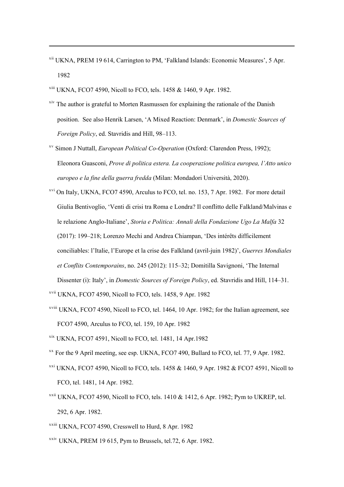- xii UKNA, PREM 19 614, Carrington to PM, 'Falkland Islands: Economic Measures', 5 Apr. 1982
- $x^{111}$  UKNA, FCO7 4590, Nicoll to FCO, tels. 1458 & 1460, 9 Apr. 1982.
- <sup>xiv</sup> The author is grateful to Morten Rasmussen for explaining the rationale of the Danish position. See also Henrik Larsen, 'A Mixed Reaction: Denmark', in *Domestic Sources of Foreign Policy*, ed. Stavridis and Hill, 98–113.
- xv Simon J Nuttall, *European Political Co-Operation* (Oxford: Clarendon Press, 1992); Eleonora Guasconi, *Prove di politica estera. La cooperazione politica europea, l'Atto unico europeo e la fine della guerra fredda* (Milan: Mondadori Università, 2020).
- xvi On Italy, UKNA, FCO7 4590, Arculus to FCO, tel. no. 153, 7 Apr. 1982. For more detail Giulia Bentivoglio, 'Venti di crisi tra Roma e Londra? Il conflitto delle Falkland/Malvinas e le relazione Anglo-Italiane', *Storia e Politica: Annali della Fondazione Ugo La Malfa* 32 (2017): 199–218; Lorenzo Mechi and Andrea Chiampan, 'Des intérêts difficilement conciliables: l'Italie, l'Europe et la crise des Falkland (avril-juin 1982)', *Guerres Mondiales et Conflits Contemporains*, no. 245 (2012): 115–32; Domitilla Savignoni, 'The Internal Dissenter (i): Italy', in *Domestic Sources of Foreign Policy*, ed. Stavridis and Hill, 114–31.
- xvii UKNA, FCO7 4590, Nicoll to FCO, tels. 1458, 9 Apr. 1982
- $x$ <sup>viii</sup> UKNA, FCO7 4590, Nicoll to FCO, tel. 1464, 10 Apr. 1982; for the Italian agreement, see FCO7 4590, Arculus to FCO, tel. 159, 10 Apr. 1982
- xix UKNA, FCO7 4591, Nicoll to FCO, tel. 1481, 14 Apr.1982
- $X^X$  For the 9 April meeting, see esp. UKNA, FCO7 490, Bullard to FCO, tel. 77, 9 Apr. 1982.
- $xxi$ <sup>xxi</sup> UKNA, FCO7 4590, Nicoll to FCO, tels. 1458 & 1460, 9 Apr. 1982 & FCO7 4591, Nicoll to FCO, tel. 1481, 14 Apr. 1982.
- $x^{\text{x}}$  UKNA, FCO7 4590, Nicoll to FCO, tels. 1410 & 1412, 6 Apr. 1982; Pvm to UKREP, tel. 292, 6 Apr. 1982.
- xxiii UKNA, FCO7 4590, Cresswell to Hurd, 8 Apr. 1982
- $xxiv$  UKNA, PREM 19 615, Pym to Brussels, tel.72, 6 Apr. 1982.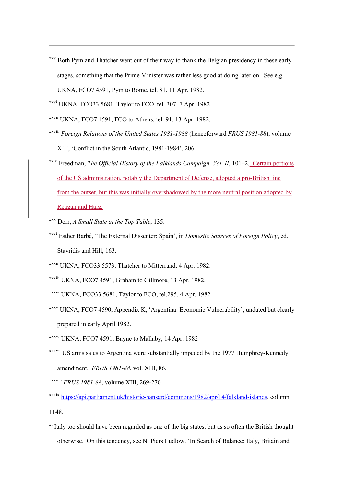<sup>xxv</sup> Both Pym and Thatcher went out of their way to thank the Belgian presidency in these early stages, something that the Prime Minister was rather less good at doing later on. See e.g. UKNA, FCO7 4591, Pym to Rome, tel. 81, 11 Apr. 1982.

- xxvii UKNA, FCO7 4591, FCO to Athens, tel. 91, 13 Apr. 1982.
- xxviii *Foreign Relations of the United States 1981-1988* (henceforward *FRUS 1981-88*), volume XIII, 'Conflict in the South Atlantic, 1981-1984', 206
- xxix Freedman, *The Official History of the Falklands Campaign. Vol. II*, 101–2. Certain portions of the US administration, notably the Department of Defense, adopted a pro-British line from the outset, but this was initially overshadowed by the more neutral position adopted by Reagan and Haig.
- xxx Dorr, *A Small State at the Top Table*, 135.
- xxxi Esther Barbé, 'The External Dissenter: Spain', in *Domestic Sources of Foreign Policy*, ed. Stavridis and Hill, 163.
- xxxii UKNA, FCO33 5573, Thatcher to Mitterrand, 4 Apr. 1982.
- xxxiii UKNA, FCO7 4591, Graham to Gillmore, 13 Apr. 1982.
- xxxiv UKNA, FCO33 5681, Taylor to FCO, tel.295, 4 Apr. 1982
- xxxv UKNA, FCO7 4590, Appendix K, 'Argentina: Economic Vulnerability', undated but clearly prepared in early April 1982.
- xxxvi UKNA, FCO7 4591, Bayne to Mallaby, 14 Apr. 1982
- xxxvii US arms sales to Argentina were substantially impeded by the 1977 Humphrey-Kennedy amendment. *FRUS 1981-88*, vol. XIII, 86.
- xxxviii *FRUS 1981-88*, volume XIII, 269-270
- xxxix https://api.parliament.uk/historic-hansard/commons/1982/apr/14/falkland-islands, column 1148.
- $x<sup>1</sup>$  Italy too should have been regarded as one of the big states, but as so often the British thought otherwise. On this tendency, see N. Piers Ludlow, 'In Search of Balance: Italy, Britain and

xxvi UKNA, FCO33 5681, Taylor to FCO, tel. 307, 7 Apr. 1982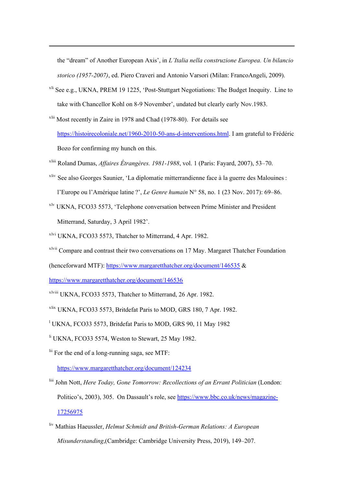the "dream" of Another European Axis', in *L'Italia nella construzione Europea. Un bilancio storico (1957-2007)*, ed. Piero Craveri and Antonio Varsori (Milan: FrancoAngeli, 2009).

- $x<sup>li</sup>$  See e.g., UKNA, PREM 19 1225, 'Post-Stuttgart Negotiations: The Budget Inequity. Line to take with Chancellor Kohl on 8-9 November', undated but clearly early Nov.1983.
- xlii Most recently in Zaire in 1978 and Chad (1978-80). For details see https://histoirecoloniale.net/1960-2010-50-ans-d-interventions.html. I am grateful to Frédéric Bozo for confirming my hunch on this.
- xliii Roland Dumas, *Affaires Étrangères. 1981-1988*, vol. 1 (Paris: Fayard, 2007), 53–70.
- xliv See also Georges Saunier, 'La diplomatie mitterrandienne face à la guerre des Malouines : l'Europe ou l'Amérique latine ?', *Le Genre humain* N° 58, no. 1 (23 Nov. 2017): 69–86.
- xlv UKNA, FCO33 5573, 'Telephone conversation between Prime Minister and President Mitterrand, Saturday, 3 April 1982'.
- xlvi UKNA, FCO33 5573, Thatcher to Mitterrand, 4 Apr. 1982.
- xlvii Compare and contrast their two conversations on 17 May. Margaret Thatcher Foundation
- (henceforward MTF): https://www.margaretthatcher.org/document/146535 &
- https://www.margaretthatcher.org/document/146536
- xlviii UKNA, FCO33 5573, Thatcher to Mitterrand, 26 Apr. 1982.
- xlix UKNA, FCO33 5573, Britdefat Paris to MOD, GRS 180, 7 Apr. 1982.
- <sup>1</sup> UKNA, FCO33 5573, Britdefat Paris to MOD, GRS 90, 11 May 1982
- <sup>li</sup> UKNA, FCO33 5574, Weston to Stewart, 25 May 1982.
- $\frac{1}{111}$  For the end of a long-running saga, see MTF:

https://www.margaretthatcher.org/document/124234

- liii John Nott, *Here Today, Gone Tomorrow: Recollections of an Errant Politician* (London: Politico's, 2003), 305. On Dassault's role, see https://www.bbc.co.uk/news/magazine-17256975
- liv Mathias Haeussler, *Helmut Schmidt and British-German Relations: A European Misunderstanding*,(Cambridge: Cambridge University Press, 2019), 149–207.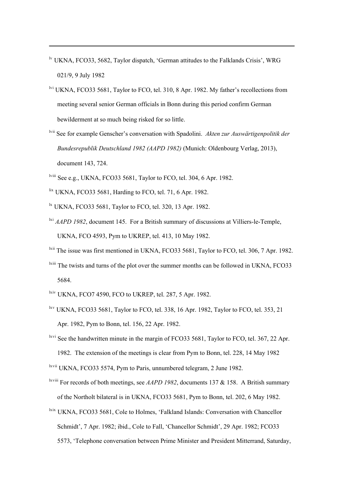- <sup>lv</sup> UKNA, FCO33, 5682, Taylor dispatch, 'German attitudes to the Falklands Crisis', WRG 021/9, 9 July 1982
- lvi UKNA, FCO33 5681, Taylor to FCO, tel. 310, 8 Apr. 1982. My father's recollections from meeting several senior German officials in Bonn during this period confirm German bewilderment at so much being risked for so little.
- lvii See for example Genscher's conversation with Spadolini. *Akten zur Auswärtigenpolitik der Bundesrepublik Deutschland 1982 (AAPD 1982)* (Munich: Oldenbourg Verlag, 2013), document 143, 724.
- lviii See e.g., UKNA, FCO33 5681, Taylor to FCO, tel. 304, 6 Apr. 1982.
- lix UKNA, FCO33 5681, Harding to FCO, tel. 71, 6 Apr. 1982.
- <sup>1x</sup> UKNA, FCO33 5681, Taylor to FCO, tel. 320, 13 Apr. 1982.
- lxi *AAPD 1982*, document 145. For a British summary of discussions at Villiers-le-Temple, UKNA, FCO 4593, Pym to UKREP, tel. 413, 10 May 1982.
- <sup>1xii</sup> The issue was first mentioned in UKNA, FCO33 5681, Taylor to FCO, tel. 306, 7 Apr. 1982.
- <sup>lxiii</sup> The twists and turns of the plot over the summer months can be followed in UKNA, FCO33 5684.
- lxiv UKNA, FCO7 4590, FCO to UKREP, tel. 287, 5 Apr. 1982.
- lxv UKNA, FCO33 5681, Taylor to FCO, tel. 338, 16 Apr. 1982, Taylor to FCO, tel. 353, 21 Apr. 1982, Pym to Bonn, tel. 156, 22 Apr. 1982.

<sup>lxvi</sup> See the handwritten minute in the margin of FCO33 5681, Taylor to FCO, tel. 367, 22 Apr. 1982. The extension of the meetings is clear from Pym to Bonn, tel. 228, 14 May 1982

- lxvii UKNA, FCO33 5574, Pym to Paris, unnumbered telegram, 2 June 1982.
- lxviii For records of both meetings, see *AAPD 1982*, documents 137 & 158. A British summary of the Northolt bilateral is in UKNA, FCO33 5681, Pym to Bonn, tel. 202, 6 May 1982.

lxix UKNA, FCO33 5681, Cole to Holmes, 'Falkland Islands: Conversation with Chancellor Schmidt', 7 Apr. 1982; ibid., Cole to Fall, 'Chancellor Schmidt', 29 Apr. 1982; FCO33 5573, 'Telephone conversation between Prime Minister and President Mitterrand, Saturday,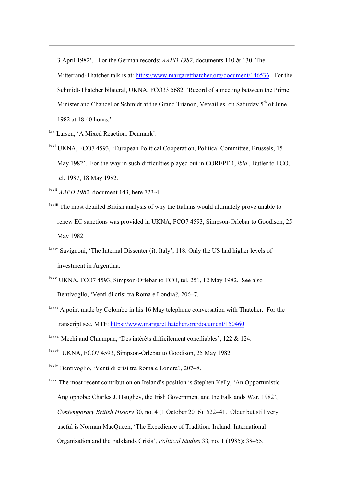3 April 1982'. For the German records: *AAPD 1982,* documents 110 & 130. The Mitterrand-Thatcher talk is at: https://www.margaretthatcher.org/document/146536. For the Schmidt-Thatcher bilateral, UKNA, FCO33 5682, 'Record of a meeting between the Prime Minister and Chancellor Schmidt at the Grand Trianon, Versailles, on Saturday  $5<sup>th</sup>$  of June, 1982 at 18.40 hours.'

lxx Larsen, 'A Mixed Reaction: Denmark'.

<sup>lxxi</sup> UKNA, FCO7 4593, 'European Political Cooperation, Political Committee, Brussels, 15 May 1982'. For the way in such difficulties played out in COREPER, *ibid*., Butler to FCO, tel. 1987, 18 May 1982.

lxxii *AAPD 1982*, document 143, here 723-4.

- lxxiii The most detailed British analysis of why the Italians would ultimately prove unable to renew EC sanctions was provided in UKNA, FCO7 4593, Simpson-Orlebar to Goodison, 25 May 1982.
- <sup>lxxiv</sup> Savignoni, 'The Internal Dissenter (i): Italy', 118. Only the US had higher levels of investment in Argentina.
- $\frac{lxxv}{lxxv}$  UKNA, FCO7 4593, Simpson-Orlebar to FCO, tel. 251, 12 May 1982. See also Bentivoglio, 'Venti di crisi tra Roma e Londra?, 206–7.
- $\frac{lxxvi}{l}$  A point made by Colombo in his 16 May telephone conversation with Thatcher. For the transcript see, MTF: https://www.margaretthatcher.org/document/150460

lxxviii UKNA, FCO7 4593, Simpson-Orlebar to Goodison, 25 May 1982.

- lxxix Bentivoglio, 'Venti di crisi tra Roma e Londra?, 207–8.
- $\frac{dx}{dx}$  The most recent contribution on Ireland's position is Stephen Kelly, 'An Opportunistic Anglophobe: Charles J. Haughey, the Irish Government and the Falklands War, 1982', *Contemporary British History* 30, no. 4 (1 October 2016): 522–41. Older but still very useful is Norman MacQueen, 'The Expedience of Tradition: Ireland, International Organization and the Falklands Crisis', *Political Studies* 33, no. 1 (1985): 38–55.

lxxvii Mechi and Chiampan, 'Des intérêts difficilement conciliables', 122 & 124.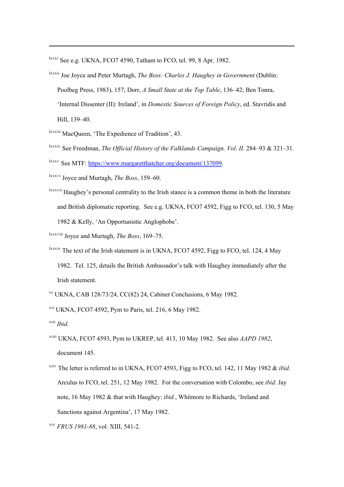lxxxi See e.g. UKNA, FCO7 4590, Tatham to FCO, tel. 99, 8 Apr. 1982.

- lxxxii Joe Joyce and Peter Murtagh, *The Boss: Charles J. Haughey in Government* (Dublin: Poolbeg Press, 1983), 157; Dorr, *A Small State at the Top Table*, 136–42; Ben Tonra, 'Internal Dissenter (II): Ireland', in *Domestic Sources of Foreign Policy*, ed. Stavridis and Hill, 139–40.
- lxxxiii MacQueen, 'The Expedience of Tradition', 43.
- lxxxiv See Freedman, *The Official History of the Falklands Campaign. Vol. II.* 284–93 & 321–31.
- lxxxv See MTF: https://www.margaretthatcher.org/document/137099.
- lxxxvi Joyce and Murtagh, *The Boss*, 159–60.
- <sup>Ixxxvii</sup> Haughey's personal centrality to the Irish stance is a common theme in both the literature and British diplomatic reporting. See e.g. UKNA, FCO7 4592, Figg to FCO, tel. 130, 5 May 1982 & Kelly, 'An Opportunistic Anglophobe'.

lxxxviii Joyce and Murtagh, *The Boss*, 169–75.

- <sup>lxxxix</sup> The text of the Irish statement is in UKNA, FCO7 4592, Figg to FCO, tel. 124, 4 May 1982. Tel. 125, details the British Ambassador's talk with Haughey immediately after the Irish statement.
- xc UKNA, CAB 128/73/24, CC(82) 24, Cabinet Conclusions, 6 May 1982.
- $xci$  UKNA, FCO7 4592, Pym to Paris, tel. 216, 6 May 1982.

xcii *Ibid.*

- xciii UKNA, FCO7 4593, Pym to UKREP, tel. 413, 10 May 1982. See also *AAPD 1982*, document 145.
- <sup>xciv</sup> The letter is referred to in UKNA, FCO7 4593, Figg to FCO, tel. 142, 11 May 1982 & *ibid*. Arculus to FCO, tel. 251, 12 May 1982. For the conversation with Colombo, see *ibid.* Jay note, 16 May 1982 & that with Haughey: *ibid.*, Whitmore to Richards, 'Ireland and Sanctions against Argentina', 17 May 1982.
- xcv *FRUS 1981-88*, vol. XIII, 541-2.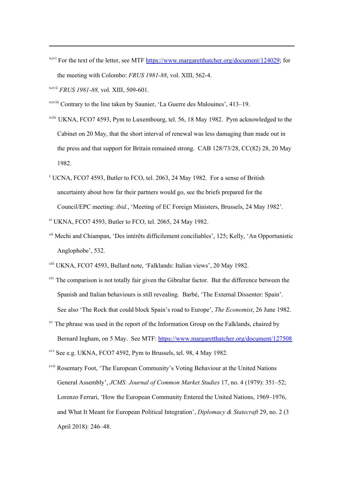xcvi For the text of the letter, see MTF https://www.margaretthatcher.org/document/124029; for the meeting with Colombo: *FRUS 1981-88*, vol. XIII, 562-4.

xcvii *FRUS 1981-88,* vol. XIII, 509-601.

xcviii Contrary to the line taken by Saunier, 'La Guerre des Malouines', 413–19.

- xcix UKNA, FCO7 4593, Pym to Luxembourg, tel. 56, 18 May 1982. Pym acknowledged to the Cabinet on 20 May, that the short interval of renewal was less damaging than made out in the press and that support for Britain remained strong. CAB 128/73/28, CC(82) 28, 20 May 1982.
- $c$  UCNA, FCO7 4593, Butler to FCO, tel. 2063, 24 May 1982. For a sense of British uncertainty about how far their partners would go, see the briefs prepared for the Council/EPC meeting: *ibid.*, 'Meeting of EC Foreign Ministers, Brussels, 24 May 1982'.
- ci UKNA, FCO7 4593, Butler to FCO, tel. 2065, 24 May 1982.
- cii Mechi and Chiampan, 'Des intérêts difficilement conciliables', 125; Kelly, 'An Opportunistic Anglophobe', 532.
- ciii UKNA, FCO7 4593, Bullard note, 'Falklands: Italian views', 20 May 1982.
- civ The comparison is not totally fair given the Gibraltar factor. But the difference between the Spanish and Italian behaviours is still revealing. Barbé, 'The External Dissenter: Spain'. See also 'The Rock that could block Spain's road to Europe', *The Economist*, 26 June 1982.
- $\alpha$ <sup>cv</sup> The phrase was used in the report of the Information Group on the Falklands, chaired by Bernard Ingham, on 5 May. See MTF: https://www.margaretthatcher.org/document/127508

cvi See e.g. UKNA, FCO7 4592, Pym to Brussels, tel. 98, 4 May 1982.

cvii Rosemary Foot, 'The European Community's Voting Behaviour at the United Nations General Assembly', *JCMS: Journal of Common Market Studies* 17, no. 4 (1979): 351–52; Lorenzo Ferrari, 'How the European Community Entered the United Nations, 1969–1976, and What It Meant for European Political Integration', *Diplomacy & Statecraft* 29, no. 2 (3 April 2018): 246–48.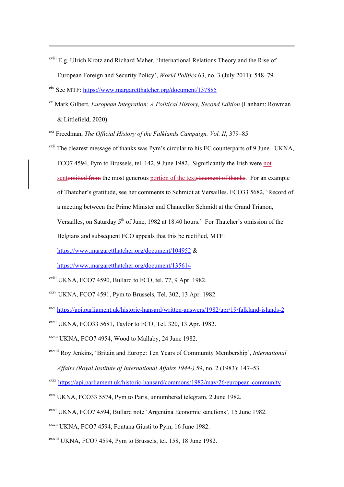- cviii E.g. Ulrich Krotz and Richard Maher, 'International Relations Theory and the Rise of European Foreign and Security Policy', *World Politics* 63, no. 3 (July 2011): 548–79.
- cix See MTF: https://www.margaretthatcher.org/document/137885
- cx Mark Gilbert, *European Integration: A Political History, Second Edition* (Lanham: Rowman & Littlefield, 2020).
- cxi Freedman, *The Official History of the Falklands Campaign. Vol. II*, 379–85.
- $\alpha$ <sup>xii</sup> The clearest message of thanks was Pym's circular to his EC counterparts of 9 June. UKNA, FCO7 4594, Pym to Brussels, tel. 142, 9 June 1982. Significantly the Irish were not sentomitted from the most generous portion of the textstatement of thanks. For an example of Thatcher's gratitude, see her comments to Schmidt at Versailles. FCO33 5682, 'Record of a meeting between the Prime Minister and Chancellor Schmidt at the Grand Trianon, Versailles, on Saturday  $5<sup>th</sup>$  of June, 1982 at 18.40 hours.' For Thatcher's omission of the Belgians and subsequent FCO appeals that this be rectified, MTF:

https://www.margaretthatcher.org/document/104952 &

https://www.margaretthatcher.org/document/135614

- $\alpha$ <sup>cxiii</sup> UKNA, FCO7 4590, Bullard to FCO, tel. 77, 9 Apr. 1982.
- $\frac{\text{cxiv}}{\text{UKNA}}$ , FCO7 4591, Pym to Brussels, Tel. 302, 13 Apr. 1982.
- cxv https://api.parliament.uk/historic-hansard/written-answers/1982/apr/19/falkland-islands-2
- $C<sup>exvi</sup> UKNA, FCO33 5681, Taylor to FCO, Tel. 320, 13 Apr. 1982.$
- cxvii UKNA, FCO7 4954, Wood to Mallaby, 24 June 1982.
- cxviii Roy Jenkins, 'Britain and Europe: Ten Years of Community Membership', *International Affairs (Royal Institute of International Affairs 1944-)* 59, no. 2 (1983): 147–53.
- cxix https://api.parliament.uk/historic-hansard/commons/1982/may/26/european-community
- $\alpha$ <sup>cxx</sup> UKNA, FCO33 5574, Pym to Paris, unnumbered telegram, 2 June 1982.
- cxxi UKNA, FCO7 4594, Bullard note 'Argentina Economic sanctions', 15 June 1982.
- cxxii UKNA, FCO7 4594, Fontana Giusti to Pym, 16 June 1982.
- cxxiii UKNA, FCO7 4594, Pym to Brussels, tel. 158, 18 June 1982.